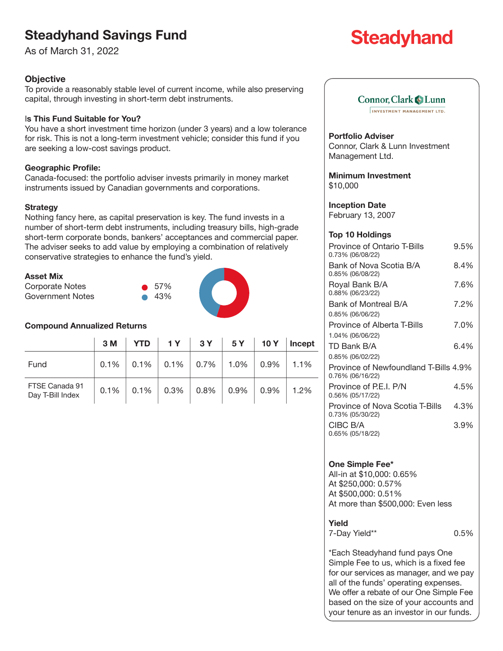# **Steadyhand Savings Fund**

As of March 31, 2022

# **Objective**

To provide a reasonably stable level of current income, while also preserving capital, through investing in short-term debt instruments.

# I**s This Fund Suitable for You?**

You have a short investment time horizon (under 3 years) and a low tolerance for risk. This is not a long-term investment vehicle; consider this fund if you are seeking a low-cost savings product.

# **Geographic Profile:**

Canada-focused: the portfolio adviser invests primarily in money market instruments issued by Canadian governments and corporations.

### **Strategy**

Nothing fancy here, as capital preservation is key. The fund invests in a number of short-term debt instruments, including treasury bills, high-grade short-term corporate bonds, bankers' acceptances and commercial paper. The adviser seeks to add value by employing a combination of relatively conservative strategies to enhance the fund's yield.

| Asset Mix |  |
|-----------|--|
|           |  |

| <b>ASSET MIX</b> |               |  |
|------------------|---------------|--|
| Corporate Notes  | $\bullet$ 57% |  |
| Government Notes | - 43%         |  |
|                  |               |  |

### **Compound Annualized Returns**

|                                    | 3 M     | YTD $\vert$ 1Y $\vert$ 3Y $\vert$ 5Y $\vert$ 10Y |          |                | Incept  |
|------------------------------------|---------|--------------------------------------------------|----------|----------------|---------|
| Fund                               | $0.1\%$ | $0.1\%$ 0.1% 0.7% 1.0%                           |          | $ 0.9\%$       | 1.1%    |
| FTSE Canada 91<br>Day T-Bill Index | 0.1%    | $0.1\%$ 0.3% 0.8%                                | $ 0.9\%$ | $\sqrt{0.9\%}$ | $1.2\%$ |

# **Steadyhand**

# Connor, Clark & Lunn

INVESTMENT MANAGEMENT LTD.

### **Portfolio Adviser**

Connor, Clark & Lunn Investment Management Ltd.

**Minimum Investment** \$10,000

**Inception Date** February 13, 2007

#### **Top 10 Holdings**

| Province of Ontario T-Bills<br>0.73% (06/08/22)           | 9.5% |
|-----------------------------------------------------------|------|
| Bank of Nova Scotia B/A<br>0.85% (06/08/22)               | 8.4% |
| Royal Bank B/A<br>0.88% (06/23/22)                        | 7.6% |
| Bank of Montreal B/A                                      | 7.2% |
| 0.85% (06/06/22)                                          |      |
| <b>Province of Alberta T-Bills</b>                        | 7.0% |
| 1.04% (06/06/22)                                          |      |
| TD Bank B/A                                               | 6.4% |
| 0.85% (06/02/22)                                          |      |
| Province of Newfoundland T-Bills 4.9%<br>0.76% (06/16/22) |      |
| Province of P.E.I. P/N<br>0.56% (05/17/22)                | 4.5% |
| Province of Nova Scotia T-Bills<br>0.73% (05/30/22)       | 4.3% |
| CIBC B/A<br>0.65% (05/18/22)                              | 3.9% |
|                                                           |      |

### **One Simple Fee\***

All-in at \$10,000: 0.65% At \$250,000: 0.57% At \$500,000: 0.51% At more than \$500,000: Even less

### **Yield**

7-Day Yield\*\* 0.5%

\*Each Steadyhand fund pays One Simple Fee to us, which is a fixed fee for our services as manager, and we pay all of the funds' operating expenses. We offer a rebate of our One Simple Fee based on the size of your accounts and your tenure as an investor in our funds.